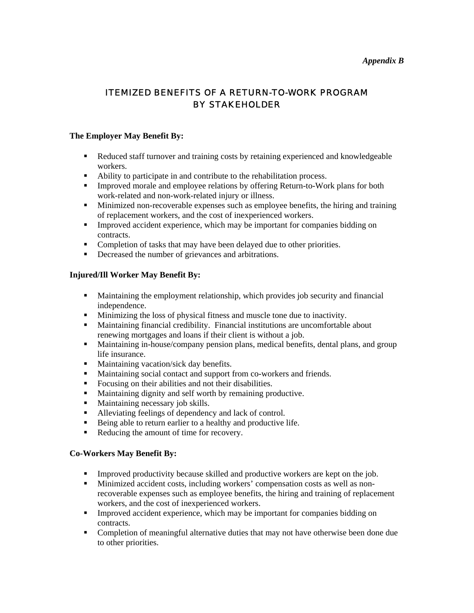#### *Appendix B*

# ITEMIZED BENEFITS OF A RETURN-TO-WORK PROGRAM BY STAKEHOLDER

## **The Employer May Benefit By:**

- Reduced staff turnover and training costs by retaining experienced and knowledgeable workers.
- Ability to participate in and contribute to the rehabilitation process.
- **Improved morale and employee relations by offering Return-to-Work plans for both** work-related and non-work-related injury or illness.
- **Minimized non-recoverable expenses such as employee benefits, the hiring and training** of replacement workers, and the cost of inexperienced workers.
- **Improved accident experience, which may be important for companies bidding on** contracts.
- Completion of tasks that may have been delayed due to other priorities.
- Decreased the number of grievances and arbitrations.

## **Injured/Ill Worker May Benefit By:**

- Maintaining the employment relationship, which provides job security and financial independence.
- Minimizing the loss of physical fitness and muscle tone due to inactivity.
- Maintaining financial credibility. Financial institutions are uncomfortable about renewing mortgages and loans if their client is without a job.
- Maintaining in-house/company pension plans, medical benefits, dental plans, and group life insurance.
- **Maintaining vacation/sick day benefits.**
- Maintaining social contact and support from co-workers and friends.
- Focusing on their abilities and not their disabilities.
- Maintaining dignity and self worth by remaining productive.
- Maintaining necessary job skills.
- Alleviating feelings of dependency and lack of control.
- Being able to return earlier to a healthy and productive life.
- Reducing the amount of time for recovery.

## **Co-Workers May Benefit By:**

- Improved productivity because skilled and productive workers are kept on the job.
- Minimized accident costs, including workers' compensation costs as well as nonrecoverable expenses such as employee benefits, the hiring and training of replacement workers, and the cost of inexperienced workers.
- Improved accident experience, which may be important for companies bidding on contracts.
- **Completion of meaningful alternative duties that may not have otherwise been done due** to other priorities.